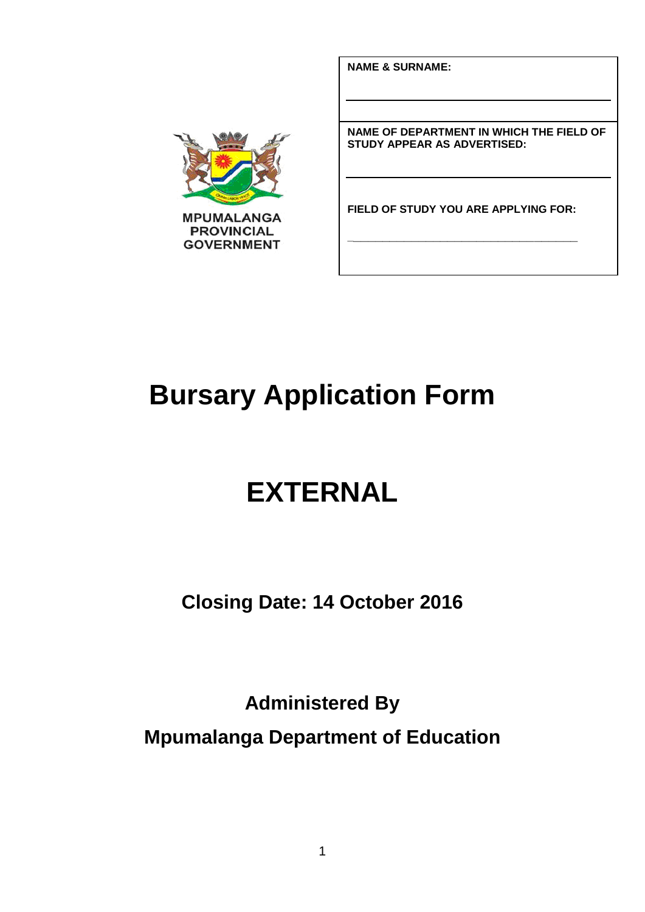**NAME & SURNAME:**



**NAME OF DEPARTMENT IN WHICH THE FIELD OF STUDY APPEAR AS ADVERTISED:**

**FIELD OF STUDY YOU ARE APPLYING FOR:**

**\_\_\_\_\_\_\_\_\_\_\_\_\_\_\_\_\_\_\_\_\_\_\_\_\_\_\_\_\_\_\_\_**

# **Bursary Application Form**

# **EXTERNAL**

**Closing Date: 14 October 2016**

**Administered By Mpumalanga Department of Education**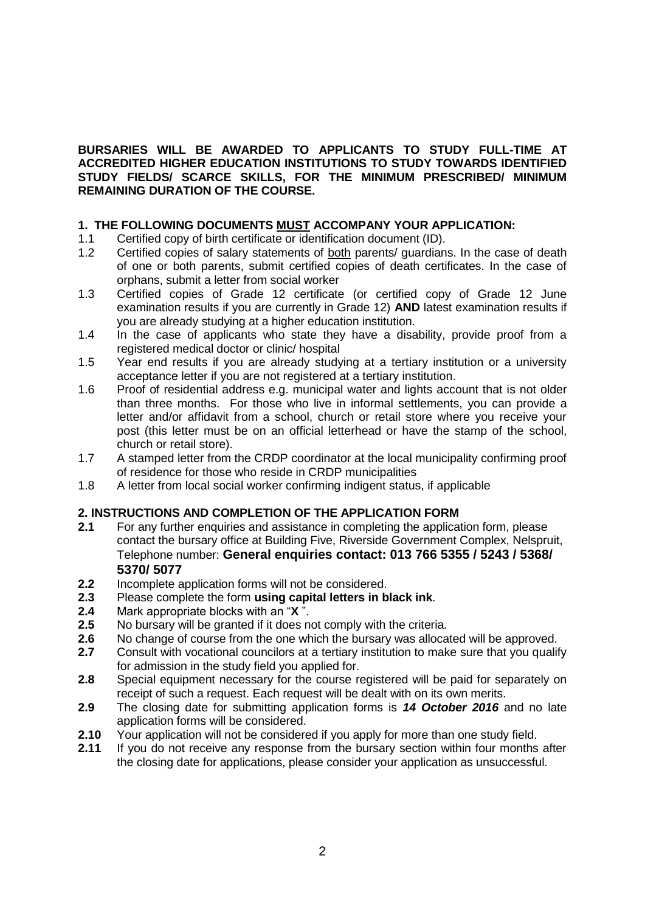#### **BURSARIES WILL BE AWARDED TO APPLICANTS TO STUDY FULL-TIME AT ACCREDITED HIGHER EDUCATION INSTITUTIONS TO STUDY TOWARDS IDENTIFIED STUDY FIELDS/ SCARCE SKILLS, FOR THE MINIMUM PRESCRIBED/ MINIMUM REMAINING DURATION OF THE COURSE.**

#### **1. THE FOLLOWING DOCUMENTS MUST ACCOMPANY YOUR APPLICATION:**

- 1.1 Certified copy of birth certificate or identification document (ID).
- 1.2 Certified copies of salary statements of both parents/ guardians. In the case of death of one or both parents, submit certified copies of death certificates. In the case of orphans, submit a letter from social worker
- 1.3 Certified copies of Grade 12 certificate (or certified copy of Grade 12 June examination results if you are currently in Grade 12) **AND** latest examination results if you are already studying at a higher education institution.
- 1.4 In the case of applicants who state they have a disability, provide proof from a registered medical doctor or clinic/ hospital
- 1.5 Year end results if you are already studying at a tertiary institution or a university acceptance letter if you are not registered at a tertiary institution.
- 1.6 Proof of residential address e.g. municipal water and lights account that is not older than three months. For those who live in informal settlements, you can provide a letter and/or affidavit from a school, church or retail store where you receive your post (this letter must be on an official letterhead or have the stamp of the school, church or retail store).
- 1.7 A stamped letter from the CRDP coordinator at the local municipality confirming proof of residence for those who reside in CRDP municipalities
- 1.8 A letter from local social worker confirming indigent status, if applicable

#### **2. INSTRUCTIONS AND COMPLETION OF THE APPLICATION FORM**

- **2.1** For any further enquiries and assistance in completing the application form, please contact the bursary office at Building Five, Riverside Government Complex, Nelspruit, Telephone number: **General enquiries contact: 013 766 5355 / 5243 / 5368/ 5370/ 5077**
- **2.2** Incomplete application forms will not be considered.
- **2.3** Please complete the form **using capital letters in black ink**.
- **2.4** Mark appropriate blocks with an "**X** ".
- **2.5** No bursary will be granted if it does not comply with the criteria.
- **2.6** No change of course from the one which the bursary was allocated will be approved.
- **2.7** Consult with vocational councilors at a tertiary institution to make sure that you qualify for admission in the study field you applied for.
- **2.8** Special equipment necessary for the course registered will be paid for separately on receipt of such a request. Each request will be dealt with on its own merits.
- **2.9** The closing date for submitting application forms is *14 October 2016* and no late application forms will be considered.
- **2.10** Your application will not be considered if you apply for more than one study field.
- **2.11** If you do not receive any response from the bursary section within four months after the closing date for applications, please consider your application as unsuccessful.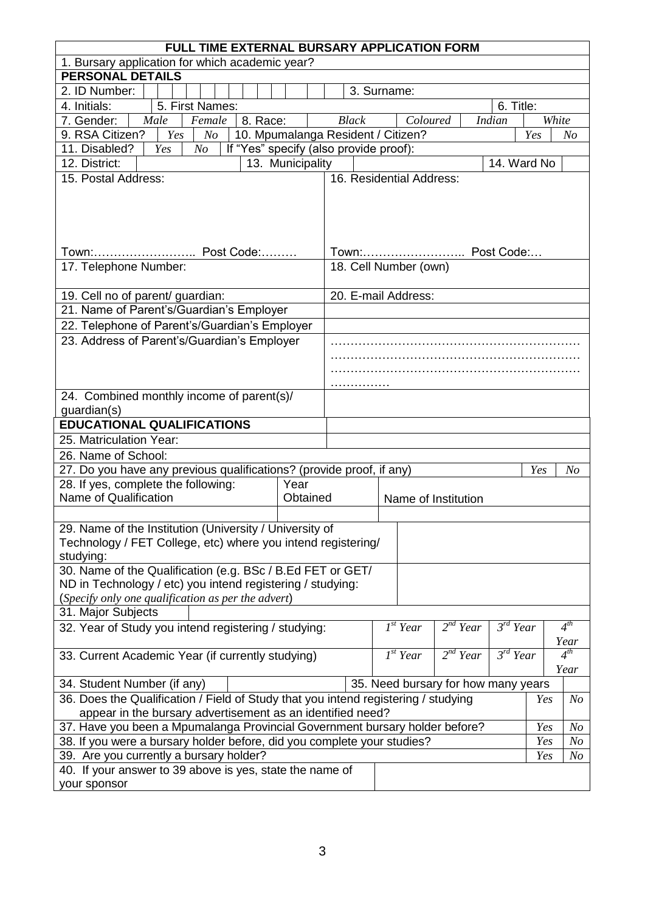| FULL TIME EXTERNAL BURSARY APPLICATION FORM                                                                 |                  |                                    |                      |          |                      |                                   |       |                |
|-------------------------------------------------------------------------------------------------------------|------------------|------------------------------------|----------------------|----------|----------------------|-----------------------------------|-------|----------------|
| 1. Bursary application for which academic year?                                                             |                  |                                    |                      |          |                      |                                   |       |                |
| <b>PERSONAL DETAILS</b>                                                                                     |                  |                                    |                      |          |                      |                                   |       |                |
| 2. ID Number:                                                                                               |                  |                                    | 3. Surname:          |          |                      |                                   |       |                |
| 5. First Names:<br>4. Initials:                                                                             |                  |                                    |                      |          |                      | 6. Title:                         |       |                |
| 8. Race:<br>7. Gender:<br>Male<br>Female                                                                    |                  | <b>Black</b>                       |                      | Coloured |                      | <b>Indian</b>                     | White |                |
| 9. RSA Citizen?<br>Yes<br>N <sub>O</sub>                                                                    |                  | 10. Mpumalanga Resident / Citizen? |                      |          |                      |                                   | Yes   | No             |
| 11. Disabled?<br>If "Yes" specify (also provide proof):<br>Yes<br>N <sub>o</sub>                            |                  |                                    |                      |          |                      | 14. Ward No                       |       |                |
| 12. District:                                                                                               | 13. Municipality |                                    |                      |          |                      |                                   |       |                |
| 15. Postal Address:                                                                                         |                  | 16. Residential Address:           |                      |          |                      |                                   |       |                |
|                                                                                                             |                  |                                    |                      |          |                      |                                   |       |                |
|                                                                                                             |                  |                                    |                      |          |                      |                                   |       |                |
|                                                                                                             |                  |                                    |                      |          |                      |                                   |       |                |
| Town: Post Code:                                                                                            |                  |                                    |                      |          | Town: Post Code:     |                                   |       |                |
| 17. Telephone Number:                                                                                       |                  | 18. Cell Number (own)              |                      |          |                      |                                   |       |                |
|                                                                                                             |                  |                                    |                      |          |                      |                                   |       |                |
| 19. Cell no of parent/ guardian:                                                                            |                  | 20. E-mail Address:                |                      |          |                      |                                   |       |                |
| 21. Name of Parent's/Guardian's Employer                                                                    |                  |                                    |                      |          |                      |                                   |       |                |
| 22. Telephone of Parent's/Guardian's Employer                                                               |                  |                                    |                      |          |                      |                                   |       |                |
| 23. Address of Parent's/Guardian's Employer                                                                 |                  |                                    |                      |          |                      |                                   |       |                |
|                                                                                                             |                  |                                    |                      |          |                      |                                   |       |                |
|                                                                                                             |                  |                                    |                      |          |                      |                                   |       |                |
|                                                                                                             |                  |                                    |                      |          |                      |                                   |       |                |
| 24. Combined monthly income of parent(s)/                                                                   |                  |                                    |                      |          |                      |                                   |       |                |
| guardian(s)                                                                                                 |                  |                                    |                      |          |                      |                                   |       |                |
| <b>EDUCATIONAL QUALIFICATIONS</b>                                                                           |                  |                                    |                      |          |                      |                                   |       |                |
| 25. Matriculation Year:                                                                                     |                  |                                    |                      |          |                      |                                   |       |                |
| 26. Name of School:                                                                                         |                  |                                    |                      |          |                      |                                   |       |                |
| 27. Do you have any previous qualifications? (provide proof, if any)                                        |                  |                                    |                      |          |                      |                                   | Yes   | No             |
| 28. If yes, complete the following:                                                                         | Year             |                                    |                      |          |                      |                                   |       |                |
| Name of Qualification                                                                                       | Obtained         |                                    |                      |          | Name of Institution  |                                   |       |                |
|                                                                                                             |                  |                                    |                      |          |                      |                                   |       |                |
| 29. Name of the Institution (University / University of                                                     |                  |                                    |                      |          |                      |                                   |       |                |
| Technology / FET College, etc) where you intend registering/                                                |                  |                                    |                      |          |                      |                                   |       |                |
| studying:                                                                                                   |                  |                                    |                      |          |                      |                                   |       |                |
| 30. Name of the Qualification (e.g. BSc / B.Ed FET or GET/                                                  |                  |                                    |                      |          |                      |                                   |       |                |
| ND in Technology / etc) you intend registering / studying:                                                  |                  |                                    |                      |          |                      |                                   |       |                |
| (Specify only one qualification as per the advert)                                                          |                  |                                    |                      |          |                      |                                   |       |                |
| 31. Major Subjects                                                                                          |                  |                                    | I <sup>st</sup> Year |          | $2^{nd}$ Year        | $\overline{\mathcal{F}}^{d}$ Year |       | $4^{th}$       |
| 32. Year of Study you intend registering / studying:                                                        |                  |                                    |                      |          |                      |                                   |       | Year           |
| 33. Current Academic Year (if currently studying)                                                           |                  |                                    | $I^{st}$ Year        |          | 2 <sup>nd</sup> Year | $\overline{3^{rd}$ Year           |       | $4^{th}$       |
|                                                                                                             |                  |                                    |                      |          |                      |                                   |       | Year           |
| 34. Student Number (if any)<br>35. Need bursary for how many years                                          |                  |                                    |                      |          |                      |                                   |       |                |
| 36. Does the Qualification / Field of Study that you intend registering / studying<br>N <sub>O</sub><br>Yes |                  |                                    |                      |          |                      |                                   |       |                |
| appear in the bursary advertisement as an identified need?                                                  |                  |                                    |                      |          |                      |                                   |       |                |
| 37. Have you been a Mpumalanga Provincial Government bursary holder before?                                 |                  |                                    |                      |          |                      |                                   | Yes   | N <sub>O</sub> |
| 38. If you were a bursary holder before, did you complete your studies?                                     |                  |                                    |                      |          |                      |                                   | Yes   | N <sub>O</sub> |
| 39. Are you currently a bursary holder?                                                                     |                  |                                    |                      |          |                      |                                   | Yes   | N o            |
| 40. If your answer to 39 above is yes, state the name of                                                    |                  |                                    |                      |          |                      |                                   |       |                |
| your sponsor                                                                                                |                  |                                    |                      |          |                      |                                   |       |                |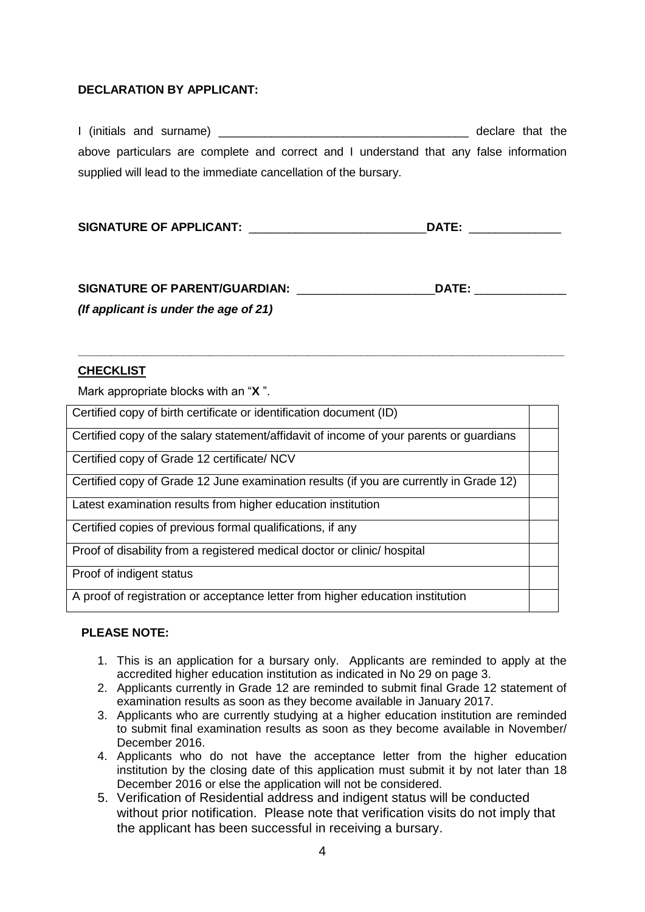#### **DECLARATION BY APPLICANT:**

|                                                                                        | declare that the |  |
|----------------------------------------------------------------------------------------|------------------|--|
| above particulars are complete and correct and I understand that any false information |                  |  |
| supplied will lead to the immediate cancellation of the bursary.                       |                  |  |

| <b>SIGNATURE OF APPLICANT:</b> | DATE: |
|--------------------------------|-------|
|--------------------------------|-------|

| <b>SIGNATURE OF PARENT/GUARDIAN:</b>     | DATE: |
|------------------------------------------|-------|
| (If applicant is under the age of $21$ ) |       |

**\_\_\_\_\_\_\_\_\_\_\_\_\_\_\_\_\_\_\_\_\_\_\_\_\_\_\_\_\_\_\_\_\_\_\_\_\_\_\_\_\_\_\_\_\_\_\_\_\_\_\_\_\_\_\_\_\_\_\_\_\_\_\_\_\_\_\_\_\_\_\_\_\_\_**

#### **CHECKLIST**

Mark appropriate blocks with an "**X** ".

| Certified copy of birth certificate or identification document (ID)                     |  |
|-----------------------------------------------------------------------------------------|--|
| Certified copy of the salary statement/affidavit of income of your parents or guardians |  |
| Certified copy of Grade 12 certificate/ NCV                                             |  |
| Certified copy of Grade 12 June examination results (if you are currently in Grade 12)  |  |
| Latest examination results from higher education institution                            |  |
| Certified copies of previous formal qualifications, if any                              |  |
| Proof of disability from a registered medical doctor or clinic/ hospital                |  |
| Proof of indigent status                                                                |  |
| A proof of registration or acceptance letter from higher education institution          |  |

#### **PLEASE NOTE:**

- 1. This is an application for a bursary only. Applicants are reminded to apply at the accredited higher education institution as indicated in No 29 on page 3.
- 2. Applicants currently in Grade 12 are reminded to submit final Grade 12 statement of examination results as soon as they become available in January 2017.
- 3. Applicants who are currently studying at a higher education institution are reminded to submit final examination results as soon as they become available in November/ December 2016.
- 4. Applicants who do not have the acceptance letter from the higher education institution by the closing date of this application must submit it by not later than 18 December 2016 or else the application will not be considered.
- 5. Verification of Residential address and indigent status will be conducted without prior notification. Please note that verification visits do not imply that the applicant has been successful in receiving a bursary.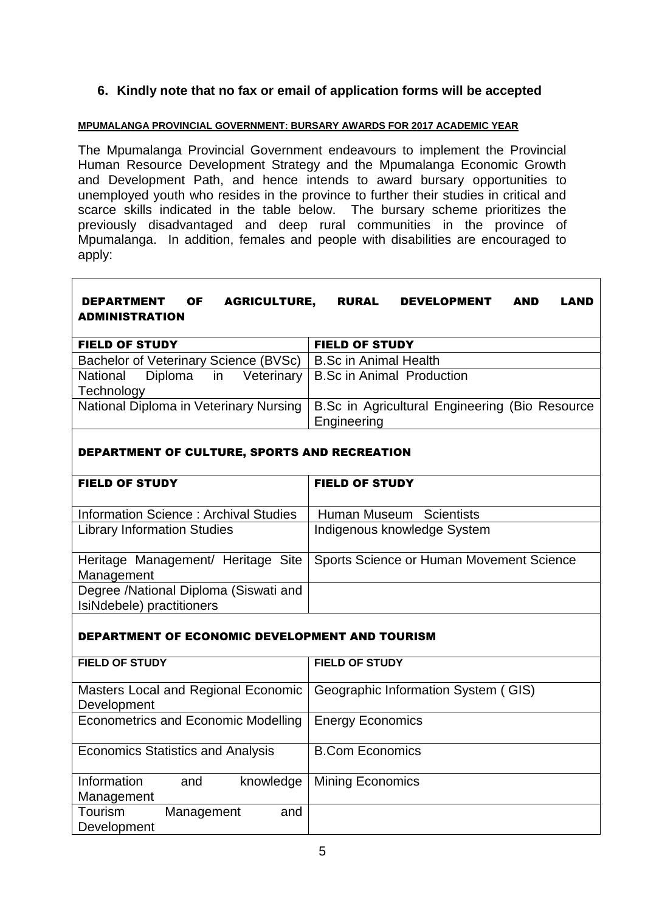# **6. Kindly note that no fax or email of application forms will be accepted**

#### **MPUMALANGA PROVINCIAL GOVERNMENT: BURSARY AWARDS FOR 2017 ACADEMIC YEAR**

The Mpumalanga Provincial Government endeavours to implement the Provincial Human Resource Development Strategy and the Mpumalanga Economic Growth and Development Path, and hence intends to award bursary opportunities to unemployed youth who resides in the province to further their studies in critical and scarce skills indicated in the table below. The bursary scheme prioritizes the previously disadvantaged and deep rural communities in the province of Mpumalanga. In addition, females and people with disabilities are encouraged to apply:

### DEPARTMENT OF AGRICULTURE, RURAL DEVELOPMENT AND LAND ADMINISTRATION

| <b>FIELD OF STUDY</b>                                      | <b>FIELD OF STUDY</b>                          |
|------------------------------------------------------------|------------------------------------------------|
| Bachelor of Veterinary Science (BVSc)                      | <b>B.Sc in Animal Health</b>                   |
| National Diploma in Veterinary   B.Sc in Animal Production |                                                |
| Technology                                                 |                                                |
| National Diploma in Veterinary Nursing                     | B.Sc in Agricultural Engineering (Bio Resource |
|                                                            | Engineering                                    |

#### DEPARTMENT OF CULTURE, SPORTS AND RECREATION

| <b>FIELD OF STUDY</b>                                              | <b>FIELD OF STUDY</b>                                                         |
|--------------------------------------------------------------------|-------------------------------------------------------------------------------|
| Information Science: Archival Studies                              | Human Museum Scientists                                                       |
| <b>Library Information Studies</b>                                 | Indigenous knowledge System                                                   |
| Management                                                         | Heritage Management/ Heritage Site   Sports Science or Human Movement Science |
| Degree /National Diploma (Siswati and<br>IsiNdebele) practitioners |                                                                               |

#### DEPARTMENT OF ECONOMIC DEVELOPMENT AND TOURISM

| <b>FIELD OF STUDY</b>                      |            |           | <b>FIELD OF STUDY</b>               |
|--------------------------------------------|------------|-----------|-------------------------------------|
|                                            |            |           |                                     |
| Masters Local and Regional Economic        |            |           | Geographic Information System (GIS) |
| Development                                |            |           |                                     |
|                                            |            |           |                                     |
| <b>Econometrics and Economic Modelling</b> |            |           | <b>Energy Economics</b>             |
|                                            |            |           |                                     |
| <b>Economics Statistics and Analysis</b>   |            |           | <b>B.Com Economics</b>              |
|                                            |            |           |                                     |
|                                            |            |           |                                     |
| Information                                | and        | knowledge | <b>Mining Economics</b>             |
| Management                                 |            |           |                                     |
| Tourism                                    |            | and       |                                     |
|                                            | Management |           |                                     |
| Development                                |            |           |                                     |
|                                            |            |           |                                     |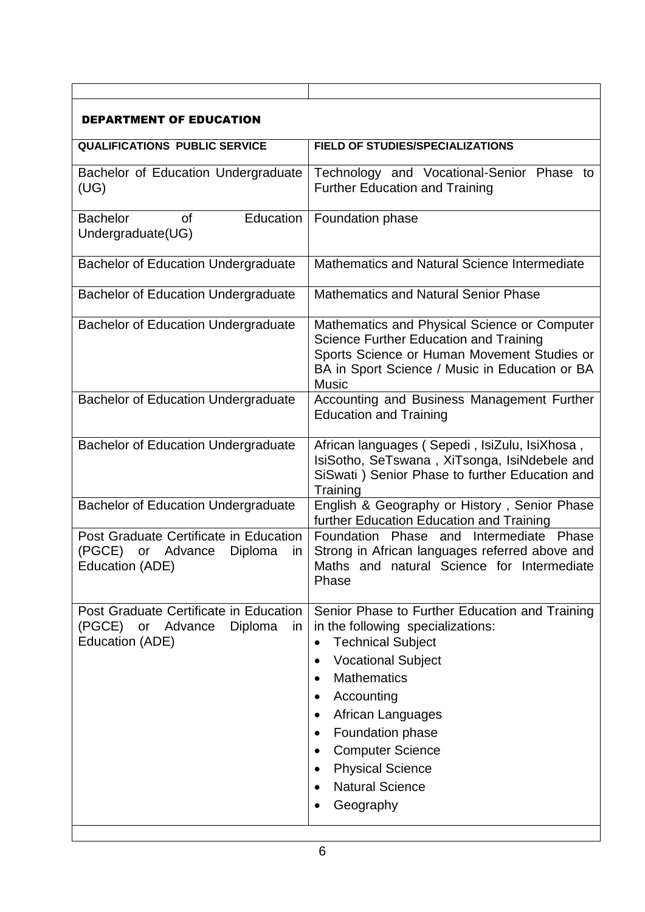| DEPARTMENT OF EDUCATION                                                                         |                                                                                                                                                                                                                                                                                                                                                                                                                                                          |
|-------------------------------------------------------------------------------------------------|----------------------------------------------------------------------------------------------------------------------------------------------------------------------------------------------------------------------------------------------------------------------------------------------------------------------------------------------------------------------------------------------------------------------------------------------------------|
| <b>QUALIFICATIONS PUBLIC SERVICE</b>                                                            | FIELD OF STUDIES/SPECIALIZATIONS                                                                                                                                                                                                                                                                                                                                                                                                                         |
| Bachelor of Education Undergraduate<br>(UG)                                                     | Technology and Vocational-Senior Phase to<br><b>Further Education and Training</b>                                                                                                                                                                                                                                                                                                                                                                       |
| <b>Bachelor</b><br>Education<br>οf<br>Undergraduate(UG)                                         | Foundation phase                                                                                                                                                                                                                                                                                                                                                                                                                                         |
| <b>Bachelor of Education Undergraduate</b>                                                      | Mathematics and Natural Science Intermediate                                                                                                                                                                                                                                                                                                                                                                                                             |
| <b>Bachelor of Education Undergraduate</b>                                                      | <b>Mathematics and Natural Senior Phase</b>                                                                                                                                                                                                                                                                                                                                                                                                              |
| <b>Bachelor of Education Undergraduate</b>                                                      | Mathematics and Physical Science or Computer<br>Science Further Education and Training<br>Sports Science or Human Movement Studies or<br>BA in Sport Science / Music in Education or BA<br><b>Music</b>                                                                                                                                                                                                                                                  |
| <b>Bachelor of Education Undergraduate</b>                                                      | Accounting and Business Management Further<br><b>Education and Training</b>                                                                                                                                                                                                                                                                                                                                                                              |
| <b>Bachelor of Education Undergraduate</b>                                                      | African languages (Sepedi, IsiZulu, IsiXhosa,<br>IsiSotho, SeTswana, XiTsonga, IsiNdebele and<br>SiSwati) Senior Phase to further Education and<br>Training                                                                                                                                                                                                                                                                                              |
| <b>Bachelor of Education Undergraduate</b>                                                      | English & Geography or History, Senior Phase<br>further Education Education and Training                                                                                                                                                                                                                                                                                                                                                                 |
| Post Graduate Certificate in Education<br>(PGCE) or Advance<br>Diploma<br>ın<br>Education (ADE) | Foundation Phase and<br>Intermediate Phase<br>Strong in African languages referred above and<br>Maths and natural Science for Intermediate<br>Phase                                                                                                                                                                                                                                                                                                      |
| Post Graduate Certificate in Education<br>(PGCE) or Advance<br>Diploma<br>in<br>Education (ADE) | Senior Phase to Further Education and Training<br>in the following specializations:<br><b>Technical Subject</b><br>$\bullet$<br><b>Vocational Subject</b><br>$\bullet$<br><b>Mathematics</b><br>$\bullet$<br>Accounting<br>$\bullet$<br>African Languages<br>$\bullet$<br>Foundation phase<br>$\bullet$<br><b>Computer Science</b><br>$\bullet$<br><b>Physical Science</b><br>$\bullet$<br><b>Natural Science</b><br>$\bullet$<br>Geography<br>$\bullet$ |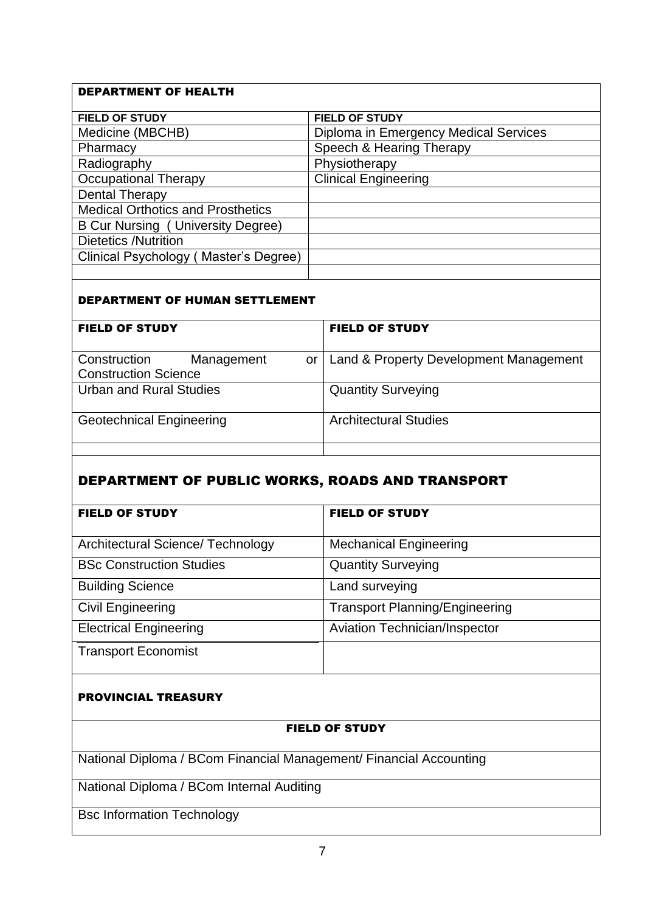# DEPARTMENT OF HEALTH **FIELD OF STUDY FIELD OF STUDY** Medicine (MBCHB) Diploma in Emergency Medical Services Pharmacy Speech & Hearing Therapy Radiography Physiotherapy Occupational Therapy Clinical Engineering Dental Therapy Medical Orthotics and Prosthetics B Cur Nursing ( University Degree) Dietetics /Nutrition Clinical Psychology ( Master's Degree)

#### DEPARTMENT OF HUMAN SETTLEMENT

| <b>FIELD OF STUDY</b>            | <b>FIELD OF STUDY</b>                  |
|----------------------------------|----------------------------------------|
| Construction<br>Management<br>or | Land & Property Development Management |
| <b>Construction Science</b>      |                                        |
| <b>Urban and Rural Studies</b>   | <b>Quantity Surveying</b>              |
| <b>Geotechnical Engineering</b>  | <b>Architectural Studies</b>           |
|                                  |                                        |

# DEPARTMENT OF PUBLIC WORKS, ROADS AND TRANSPORT

| <b>FIELD OF STUDY</b>             | <b>FIELD OF STUDY</b>                 |
|-----------------------------------|---------------------------------------|
| Architectural Science/ Technology | <b>Mechanical Engineering</b>         |
| <b>BSc Construction Studies</b>   | <b>Quantity Surveying</b>             |
| <b>Building Science</b>           | Land surveying                        |
| <b>Civil Engineering</b>          | <b>Transport Planning/Engineering</b> |
| <b>Electrical Engineering</b>     | <b>Aviation Technician/Inspector</b>  |
| <b>Transport Economist</b>        |                                       |

#### PROVINCIAL TREASURY

#### FIELD OF STUDY

National Diploma / BCom Financial Management/ Financial Accounting

National Diploma / BCom Internal Auditing

Bsc Information Technology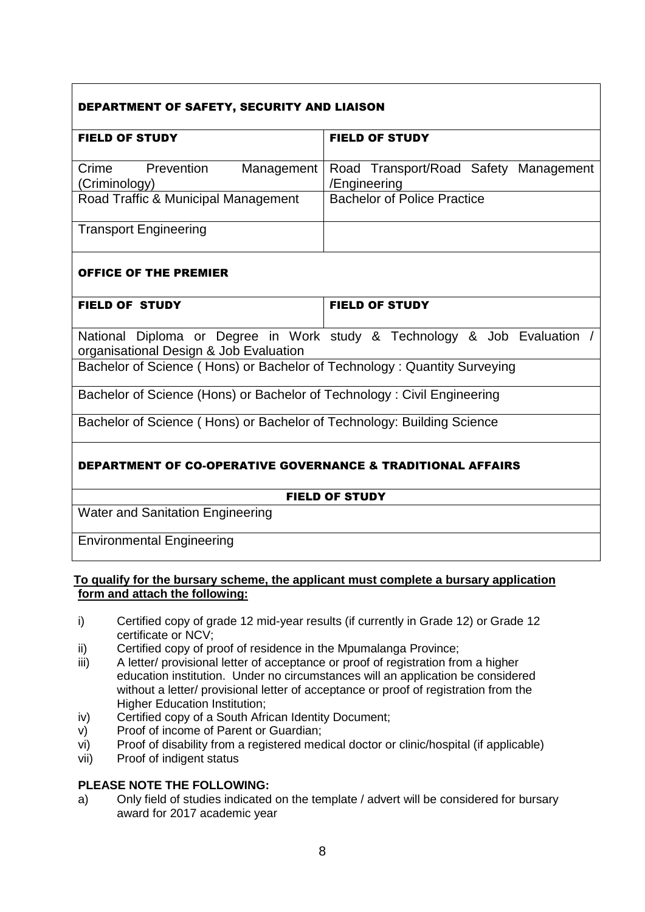# DEPARTMENT OF SAFETY, SECURITY AND LIAISON

| <b>FIELD OF STUDY</b>               | <b>FIELD OF STUDY</b>                              |
|-------------------------------------|----------------------------------------------------|
|                                     |                                                    |
| Crime<br>Prevention                 | Management   Road Transport/Road Safety Management |
| (Criminology)                       | /Engineering                                       |
| Road Traffic & Municipal Management | <b>Bachelor of Police Practice</b>                 |
|                                     |                                                    |
| <b>Transport Engineering</b>        |                                                    |
|                                     |                                                    |

### OFFICE OF THE PREMIER

| <b>FIELD OF STUDY</b>                                                    | <b>FIELD OF STUDY</b>                                                  |
|--------------------------------------------------------------------------|------------------------------------------------------------------------|
| organisational Design & Job Evaluation                                   | National Diploma or Degree in Work study & Technology & Job Evaluation |
| Bachelor of Science (Hons) or Bachelor of Technology: Quantity Surveying |                                                                        |

Bachelor of Science (Hons) or Bachelor of Technology : Civil Engineering

Bachelor of Science ( Hons) or Bachelor of Technology: Building Science

# DEPARTMENT OF CO-OPERATIVE GOVERNANCE & TRADITIONAL AFFAIRS

#### FIELD OF STUDY

Water and Sanitation Engineering

Environmental Engineering

#### **To qualify for the bursary scheme, the applicant must complete a bursary application form and attach the following:**

- i) Certified copy of grade 12 mid-year results (if currently in Grade 12) or Grade 12 certificate or NCV;
- ii) Certified copy of proof of residence in the Mpumalanga Province;
- iii) A letter/ provisional letter of acceptance or proof of registration from a higher education institution. Under no circumstances will an application be considered without a letter/ provisional letter of acceptance or proof of registration from the Higher Education Institution;
- iv) Certified copy of a South African Identity Document;
- v) Proof of income of Parent or Guardian;
- vi) Proof of disability from a registered medical doctor or clinic/hospital (if applicable)
- vii) Proof of indigent status

#### **PLEASE NOTE THE FOLLOWING:**

a) Only field of studies indicated on the template / advert will be considered for bursary award for 2017 academic year